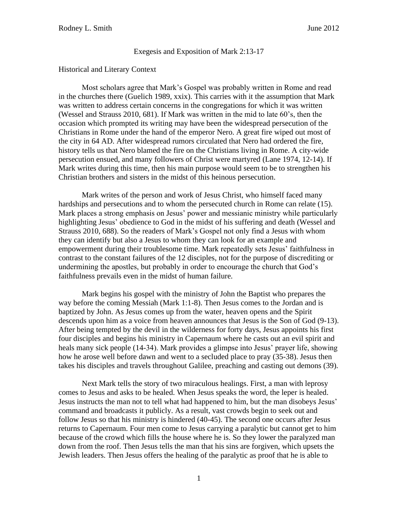Exegesis and Exposition of Mark 2:13-17

#### Historical and Literary Context

Most scholars agree that Mark's Gospel was probably written in Rome and read in the churches there (Guelich 1989, xxix). This carries with it the assumption that Mark was written to address certain concerns in the congregations for which it was written (Wessel and Strauss 2010, 681). If Mark was written in the mid to late 60's, then the occasion which prompted its writing may have been the widespread persecution of the Christians in Rome under the hand of the emperor Nero. A great fire wiped out most of the city in 64 AD. After widespread rumors circulated that Nero had ordered the fire, history tells us that Nero blamed the fire on the Christians living in Rome. A city-wide persecution ensued, and many followers of Christ were martyred (Lane 1974, 12-14). If Mark writes during this time, then his main purpose would seem to be to strengthen his Christian brothers and sisters in the midst of this heinous persecution.

Mark writes of the person and work of Jesus Christ, who himself faced many hardships and persecutions and to whom the persecuted church in Rome can relate (15). Mark places a strong emphasis on Jesus' power and messianic ministry while particularly highlighting Jesus' obedience to God in the midst of his suffering and death (Wessel and Strauss 2010, 688). So the readers of Mark's Gospel not only find a Jesus with whom they can identify but also a Jesus to whom they can look for an example and empowerment during their troublesome time. Mark repeatedly sets Jesus' faithfulness in contrast to the constant failures of the 12 disciples, not for the purpose of discrediting or undermining the apostles, but probably in order to encourage the church that God's faithfulness prevails even in the midst of human failure.

Mark begins his gospel with the ministry of John the Baptist who prepares the way before the coming Messiah (Mark 1:1-8). Then Jesus comes to the Jordan and is baptized by John. As Jesus comes up from the water, heaven opens and the Spirit descends upon him as a voice from heaven announces that Jesus is the Son of God (9-13). After being tempted by the devil in the wilderness for forty days, Jesus appoints his first four disciples and begins his ministry in Capernaum where he casts out an evil spirit and heals many sick people (14-34). Mark provides a glimpse into Jesus' prayer life, showing how he arose well before dawn and went to a secluded place to pray (35-38). Jesus then takes his disciples and travels throughout Galilee, preaching and casting out demons (39).

Next Mark tells the story of two miraculous healings. First, a man with leprosy comes to Jesus and asks to be healed. When Jesus speaks the word, the leper is healed. Jesus instructs the man not to tell what had happened to him, but the man disobeys Jesus' command and broadcasts it publicly. As a result, vast crowds begin to seek out and follow Jesus so that his ministry is hindered (40-45). The second one occurs after Jesus returns to Capernaum. Four men come to Jesus carrying a paralytic but cannot get to him because of the crowd which fills the house where he is. So they lower the paralyzed man down from the roof. Then Jesus tells the man that his sins are forgiven, which upsets the Jewish leaders. Then Jesus offers the healing of the paralytic as proof that he is able to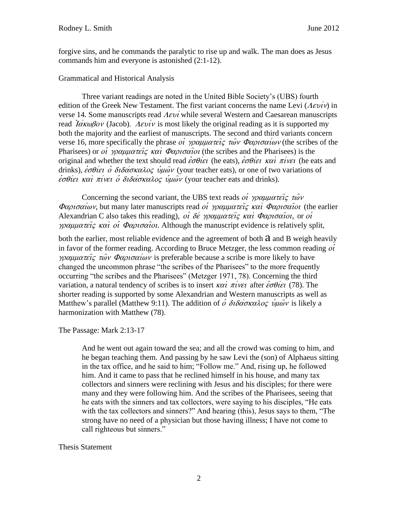forgive sins, and he commands the paralytic to rise up and walk. The man does as Jesus commands him and everyone is astonished (2:1-12).

### Grammatical and Historical Analysis

Three variant readings are noted in the United Bible Society's (UBS) fourth edition of the Greek New Testament. The first variant concerns the name Levi  $(A \epsilon \nu i \nu)$  in verse 14. Some manuscripts read  $A \epsilon \nu i$  while several Western and Caesarean manuscripts read  $I\alpha\kappa\omega\beta o\nu$  (Jacob).  $A\epsilon\nu i\nu$  is most likely the original reading as it is supported my both the majority and the earliest of manuscripts. The second and third variants concern verse 16, more specifically the phrase oi  $\gamma \rho \alpha \mu \mu \alpha \tau \epsilon \hat{i} \zeta \tau \hat{\omega} \nu \Phi \alpha \rho \nu \sigma \alpha \hat{i} \omega \nu$  (the scribes of the Pharisees) or *oi*  $\gamma \rho \alpha \mu \alpha \pi \epsilon i \zeta \kappa \alpha i \Phi \alpha \rho \sigma \alpha i \omega$  (the scribes and the Pharisees) is the original and whether the text should read  $\epsilon \sigma \theta i \epsilon i$  (he eats),  $\epsilon \sigma \theta i \epsilon i$  kai;  $\pi i$  vei (he eats and drinks),  $\dot{\epsilon} \sigma \theta i \epsilon \dot{\sigma} \delta i \delta \alpha \dot{\sigma} \kappa \alpha \lambda \dot{\sigma} \zeta \dot{\nu} \mu \dot{\omega} \nu$  (your teacher eats), or one of two variations of  $\dot{\epsilon}$ σθίει και πίνει ο διδάσκαλος υμών (your teacher eats and drinks).

Concerning the second variant, the UBS text reads of  $\gamma\rho \alpha \mu \mu \alpha \tau \epsilon \hat{i} \zeta \tau \hat{w} \nu$  $\Phi$ αρισαίων, but many later manuscripts read *oi γραμματείς και Φαρισαίοι* (the earlier Alexandrian C also takes this reading), oi  $\delta \dot{\varepsilon}$  yocularial  $\dot{\varepsilon}$  kai;  $\Phi \alpha \rho \iota \sigma \alpha \hat{i} \sigma \iota$ , or oi *voquuateic kai oi*  $\Phi$ *apioaioi*. Although the manuscript evidence is relatively split,

both the earlier, most reliable evidence and the agreement of both  $\alpha$  and  $\beta$  weigh heavily in favor of the former reading. According to Bruce Metzger, the less common reading  $o\hat{i}$  $\gamma\rho\alpha\mu\alpha\tau\epsilon\hat{i}\zeta\tau\hat{\omega}\nu$   $\Phi\alpha\rho\iota\sigma\alpha\hat{i}\omega\nu$  is preferable because a scribe is more likely to have changed the uncommon phrase "the scribes of the Pharisees" to the more frequently occurring "the scribes and the Pharisees" (Metzger 1971, 78). Concerning the third variation, a natural tendency of scribes is to insert  $\kappa \alpha \hat{i}$   $\pi \hat{i}$  ver after  $\hat{\epsilon} \sigma \hat{\theta} i \epsilon \hat{i}$  (78). The shorter reading is supported by some Alexandrian and Western manuscripts as well as Matthew's parallel (Matthew 9:11). The addition of  $\dot{\phi}$   $\delta i \delta \alpha \sigma \kappa \alpha \lambda o \zeta$   $\dot{\psi} \mu \omega \nu$  is likely a harmonization with Matthew (78).

The Passage: Mark 2:13-17

And he went out again toward the sea; and all the crowd was coming to him, and he began teaching them. And passing by he saw Levi the (son) of Alphaeus sitting in the tax office, and he said to him; "Follow me." And, rising up, he followed him. And it came to pass that he reclined himself in his house, and many tax collectors and sinners were reclining with Jesus and his disciples; for there were many and they were following him. And the scribes of the Pharisees, seeing that he eats with the sinners and tax collectors, were saying to his disciples, "He eats with the tax collectors and sinners?" And hearing (this), Jesus says to them, "The strong have no need of a physician but those having illness; I have not come to call righteous but sinners."

## Thesis Statement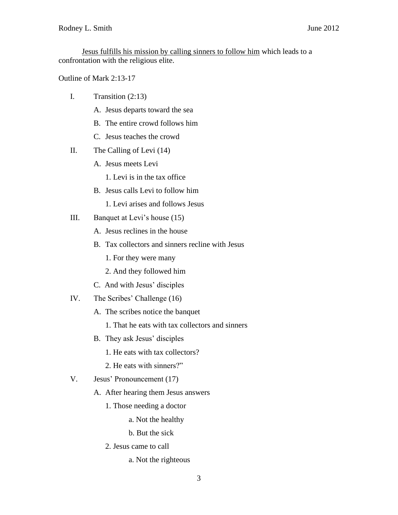Jesus fulfills his mission by calling sinners to follow him which leads to a confrontation with the religious elite.

Outline of Mark 2:13-17

- I. Transition (2:13)
	- A. Jesus departs toward the sea
	- B. The entire crowd follows him
	- C. Jesus teaches the crowd
- II. The Calling of Levi (14)
	- A. Jesus meets Levi
		- 1. Levi is in the tax office
	- B. Jesus calls Levi to follow him
		- 1. Levi arises and follows Jesus
- III. Banquet at Levi's house (15)
	- A. Jesus reclines in the house
	- B. Tax collectors and sinners recline with Jesus
		- 1. For they were many
		- 2. And they followed him
	- C. And with Jesus' disciples
- IV. The Scribes' Challenge (16)
	- A. The scribes notice the banquet
		- 1. That he eats with tax collectors and sinners
	- B. They ask Jesus' disciples
		- 1. He eats with tax collectors?
		- 2. He eats with sinners?"
- V. Jesus' Pronouncement (17)
	- A. After hearing them Jesus answers
		- 1. Those needing a doctor
			- a. Not the healthy

b. But the sick

- 2. Jesus came to call
	- a. Not the righteous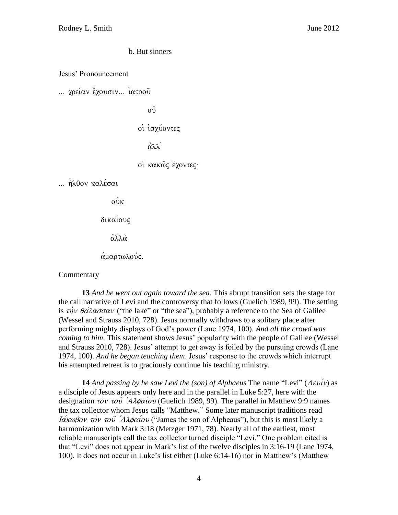b. But sinners

Jesus' Pronouncement

... χρείαν έχουσιν... ιατρού

 $\dot{\rm o}$ 

οι ισχύοντες

 $\dot{\alpha}$  $\lambda\lambda$ 

oi κακώς έχοντες·

... ηλθον καλέσαι

 $\overline{\text{ow}}$ 

δικαίους

άλλά

αμαρτωλούς.

**Commentary** 

**13** *And he went out again toward the sea*. This abrupt transition sets the stage for the call narrative of Levi and the controversy that follows (Guelich 1989, 99). The setting is  $\tau \dot{\eta} \nu$   $\theta \dot{\alpha} \lambda \alpha \sigma \sigma \alpha \nu$  ("the lake" or "the sea"), probably a reference to the Sea of Galilee (Wessel and Strauss 2010, 728). Jesus normally withdraws to a solitary place after performing mighty displays of God's power (Lane 1974, 100). *And all the crowd was coming to him*. This statement shows Jesus' popularity with the people of Galilee (Wessel and Strauss 2010, 728). Jesus' attempt to get away is foiled by the pursuing crowds (Lane 1974, 100). *And he began teaching them*. Jesus' response to the crowds which interrupt his attempted retreat is to graciously continue his teaching ministry.

**14** *And passing by he saw Levi the (son) of Alphaeus* The name "Levi" ( $A \epsilon \nu \nu \nu$ ) as a disciple of Jesus appears only here and in the parallel in Luke 5:27, here with the designation  $\tau \circ \nu \tau \circ \hat{\nu}$   $\hat{A} \lambda \phi \alpha \hat{\iota} \circ \nu$  (Guelich 1989, 99). The parallel in Matthew 9:9 names the tax collector whom Jesus calls "Matthew." Some later manuscript traditions read Iakwhov to  $\hat{v}$  to  $\hat{v}$   $\hat{A} \lambda \phi \hat{a}$  ("James the son of Alpheaus"), but this is most likely a harmonization with Mark 3:18 (Metzger 1971, 78). Nearly all of the earliest, most reliable manuscripts call the tax collector turned disciple "Levi." One problem cited is that "Levi" does not appear in Mark's list of the twelve disciples in 3:16-19 (Lane 1974, 100). It does not occur in Luke's list either (Luke 6:14-16) nor in Matthew's (Matthew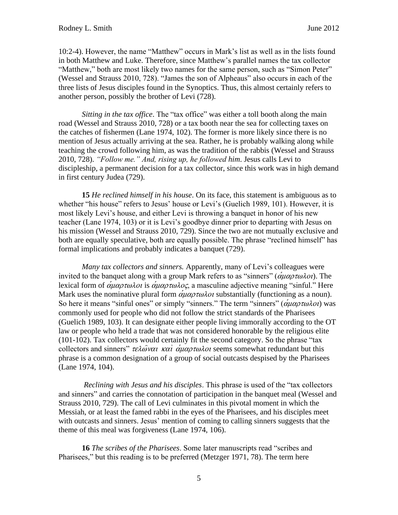10:2-4). However, the name "Matthew" occurs in Mark's list as well as in the lists found in both Matthew and Luke. Therefore, since Matthew's parallel names the tax collector "Matthew," both are most likely two names for the same person, such as "Simon Peter" (Wessel and Strauss 2010, 728). "James the son of Alpheaus" also occurs in each of the three lists of Jesus disciples found in the Synoptics. Thus, this almost certainly refers to another person, possibly the brother of Levi (728).

*Sitting in the tax office*. The "tax office" was either a toll booth along the main road (Wessel and Strauss 2010, 728) or a tax booth near the sea for collecting taxes on the catches of fishermen (Lane 1974, 102). The former is more likely since there is no mention of Jesus actually arriving at the sea. Rather, he is probably walking along while teaching the crowd following him, as was the tradition of the rabbis (Wessel and Strauss 2010, 728). *"Follow me." And, rising up, he followed him*. Jesus calls Levi to discipleship, a permanent decision for a tax collector, since this work was in high demand in first century Judea (729).

**15** *He reclined himself in his house*. On its face, this statement is ambiguous as to whether "his house" refers to Jesus' house or Levi's (Guelich 1989, 101). However, it is most likely Levi's house, and either Levi is throwing a banquet in honor of his new teacher (Lane 1974, 103) or it is Levi's goodbye dinner prior to departing with Jesus on his mission (Wessel and Strauss 2010, 729). Since the two are not mutually exclusive and both are equally speculative, both are equally possible. The phrase "reclined himself" has formal implications and probably indicates a banquet (729).

*Many tax collectors and sinners.* Apparently, many of Levi's colleagues were invited to the banquet along with a group Mark refers to as "sinners" ( $\alpha \mu \alpha \rho \tau \omega \lambda \sigma$ ). The lexical form of  $\alpha\mu\alpha\rho\tau\omega\lambda\omega$  is  $\alpha\mu\alpha\rho\tau\omega\lambda\omega\zeta$ , a masculine adjective meaning "sinful." Here Mark uses the nominative plural form  $\alpha \mu \alpha \rho \tau \omega \lambda \rho \sigma \nu$  substantially (functioning as a noun). So here it means "sinful ones" or simply "sinners." The term "sinners" ( $\alpha \mu \alpha \rho \tau \omega \lambda \sigma$ ) was commonly used for people who did not follow the strict standards of the Pharisees (Guelich 1989, 103). It can designate either people living immorally according to the OT law or people who held a trade that was not considered honorable by the religious elite (101-102). Tax collectors would certainly fit the second category. So the phrase "tax collectors and sinners"  $\tau \epsilon \lambda \omega \nu \alpha \alpha \chi$   $\alpha \nu \alpha \nu \alpha \lambda \nu \omega \lambda \nu$  seems somewhat redundant but this phrase is a common designation of a group of social outcasts despised by the Pharisees (Lane 1974, 104).

*Reclining with Jesus and his disciples*. This phrase is used of the "tax collectors and sinners" and carries the connotation of participation in the banquet meal (Wessel and Strauss 2010, 729). The call of Levi culminates in this pivotal moment in which the Messiah, or at least the famed rabbi in the eyes of the Pharisees, and his disciples meet with outcasts and sinners. Jesus' mention of coming to calling sinners suggests that the theme of this meal was forgiveness (Lane 1974, 106).

**16** *The scribes of the Pharisees*. Some later manuscripts read "scribes and Pharisees," but this reading is to be preferred (Metzger 1971, 78). The term here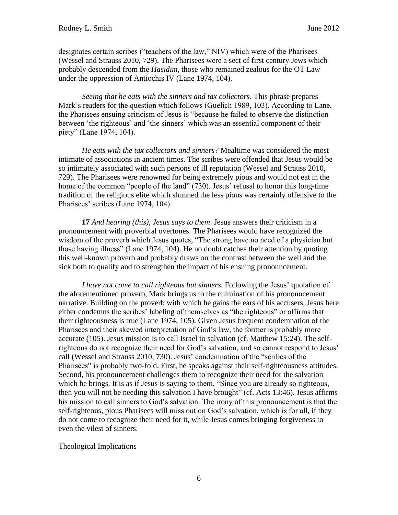designates certain scribes ("teachers of the law," NIV) which were of the Pharisees (Wessel and Strauss 2010, 729). The Pharisees were a sect of first century Jews which probably descended from the *Hasidim*, those who remained zealous for the OT Law under the oppression of Antiochis IV (Lane 1974, 104).

*Seeing that he eats with the sinners and tax collectors*. This phrase prepares Mark's readers for the question which follows (Guelich 1989, 103). According to Lane, the Pharisees ensuing criticism of Jesus is "because he failed to observe the distinction between 'the righteous' and 'the sinners' which was an essential component of their piety" (Lane 1974, 104).

*He eats with the tax collectors and sinners?* Mealtime was considered the most intimate of associations in ancient times. The scribes were offended that Jesus would be so intimately associated with such persons of ill reputation (Wessel and Strauss 2010, 729). The Pharisees were renowned for being extremely pious and would not eat in the home of the common "people of the land" (730). Jesus' refusal to honor this long-time tradition of the religious elite which shunned the less pious was certainly offensive to the Pharisees' scribes (Lane 1974, 104).

**17** *And hearing (this), Jesus says to them*. Jesus answers their criticism in a pronouncement with proverbial overtones. The Pharisees would have recognized the wisdom of the proverb which Jesus quotes, "The strong have no need of a physician but those having illness" (Lane 1974, 104). He no doubt catches their attention by quoting this well-known proverb and probably draws on the contrast between the well and the sick both to qualify and to strengthen the impact of his ensuing pronouncement.

*I have not come to call righteous but sinners.* Following the Jesus' quotation of the aforementioned proverb, Mark brings us to the culmination of his pronouncement narrative. Building on the proverb with which he gains the ears of his accusers, Jesus here either condemns the scribes' labeling of themselves as "the righteous" or affirms that their righteousness is true (Lane 1974, 105). Given Jesus frequent condemnation of the Pharisees and their skewed interpretation of God's law, the former is probably more accurate (105). Jesus mission is to call Israel to salvation (cf. Matthew 15:24). The selfrighteous do not recognize their need for God's salvation, and so cannot respond to Jesus' call (Wessel and Strauss 2010, 730). Jesus' condemnation of the "scribes of the Pharisees" is probably two-fold. First, he speaks against their self-righteousness attitudes. Second, his pronouncement challenges them to recognize their need for the salvation which he brings. It is as if Jesus is saying to them, "Since you are already so righteous, then you will not be needing this salvation I have brought" (cf. Acts 13:46). Jesus affirms his mission to call sinners to God's salvation. The irony of this pronouncement is that the self-righteous, pious Pharisees will miss out on God's salvation, which is for all, if they do not come to recognize their need for it, while Jesus comes bringing forgiveness to even the vilest of sinners.

### Theological Implications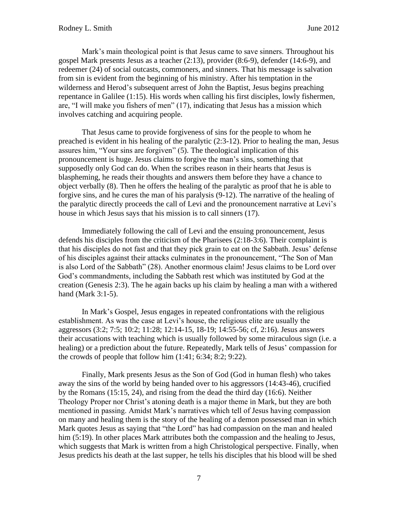Mark's main theological point is that Jesus came to save sinners. Throughout his gospel Mark presents Jesus as a teacher (2:13), provider (8:6-9), defender (14:6-9), and redeemer (24) of social outcasts, commoners, and sinners. That his message is salvation from sin is evident from the beginning of his ministry. After his temptation in the wilderness and Herod's subsequent arrest of John the Baptist, Jesus begins preaching repentance in Galilee (1:15). His words when calling his first disciples, lowly fishermen, are, "I will make you fishers of men" (17), indicating that Jesus has a mission which involves catching and acquiring people.

That Jesus came to provide forgiveness of sins for the people to whom he preached is evident in his healing of the paralytic (2:3-12). Prior to healing the man, Jesus assures him, "Your sins are forgiven" (5). The theological implication of this pronouncement is huge. Jesus claims to forgive the man's sins, something that supposedly only God can do. When the scribes reason in their hearts that Jesus is blaspheming, he reads their thoughts and answers them before they have a chance to object verbally (8). Then he offers the healing of the paralytic as proof that he is able to forgive sins, and he cures the man of his paralysis (9-12). The narrative of the healing of the paralytic directly proceeds the call of Levi and the pronouncement narrative at Levi's house in which Jesus says that his mission is to call sinners (17).

Immediately following the call of Levi and the ensuing pronouncement, Jesus defends his disciples from the criticism of the Pharisees (2:18-3:6). Their complaint is that his disciples do not fast and that they pick grain to eat on the Sabbath. Jesus' defense of his disciples against their attacks culminates in the pronouncement, "The Son of Man is also Lord of the Sabbath" (28). Another enormous claim! Jesus claims to be Lord over God's commandments, including the Sabbath rest which was instituted by God at the creation (Genesis 2:3). The he again backs up his claim by healing a man with a withered hand (Mark 3:1-5).

In Mark's Gospel, Jesus engages in repeated confrontations with the religious establishment. As was the case at Levi's house, the religious elite are usually the aggressors (3:2; 7:5; 10:2; 11:28; 12:14-15, 18-19; 14:55-56; cf, 2:16). Jesus answers their accusations with teaching which is usually followed by some miraculous sign (i.e. a healing) or a prediction about the future. Repeatedly, Mark tells of Jesus' compassion for the crowds of people that follow him (1:41; 6:34; 8:2; 9:22).

Finally, Mark presents Jesus as the Son of God (God in human flesh) who takes away the sins of the world by being handed over to his aggressors (14:43-46), crucified by the Romans (15:15, 24), and rising from the dead the third day (16:6). Neither Theology Proper nor Christ's atoning death is a major theme in Mark, but they are both mentioned in passing. Amidst Mark's narratives which tell of Jesus having compassion on many and healing them is the story of the healing of a demon possessed man in which Mark quotes Jesus as saying that "the Lord" has had compassion on the man and healed him (5:19). In other places Mark attributes both the compassion and the healing to Jesus, which suggests that Mark is written from a high Christological perspective. Finally, when Jesus predicts his death at the last supper, he tells his disciples that his blood will be shed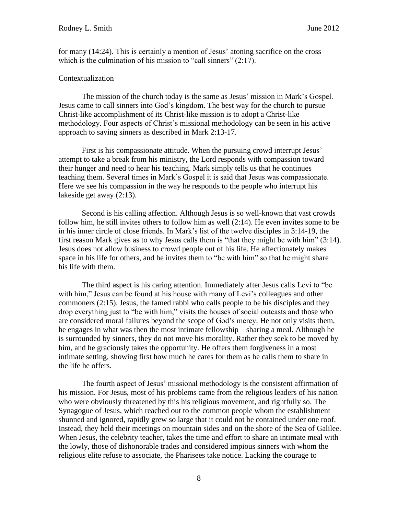for many (14:24). This is certainly a mention of Jesus' atoning sacrifice on the cross which is the culmination of his mission to "call sinners" (2:17).

### Contextualization

The mission of the church today is the same as Jesus' mission in Mark's Gospel. Jesus came to call sinners into God's kingdom. The best way for the church to pursue Christ-like accomplishment of its Christ-like mission is to adopt a Christ-like methodology. Four aspects of Christ's missional methodology can be seen in his active approach to saving sinners as described in Mark 2:13-17.

First is his compassionate attitude. When the pursuing crowd interrupt Jesus' attempt to take a break from his ministry, the Lord responds with compassion toward their hunger and need to hear his teaching. Mark simply tells us that he continues teaching them. Several times in Mark's Gospel it is said that Jesus was compassionate. Here we see his compassion in the way he responds to the people who interrupt his lakeside get away (2:13).

Second is his calling affection. Although Jesus is so well-known that vast crowds follow him, he still invites others to follow him as well (2:14). He even invites some to be in his inner circle of close friends. In Mark's list of the twelve disciples in 3:14-19, the first reason Mark gives as to why Jesus calls them is "that they might be with him" (3:14). Jesus does not allow business to crowd people out of his life. He affectionately makes space in his life for others, and he invites them to "be with him" so that he might share his life with them.

The third aspect is his caring attention. Immediately after Jesus calls Levi to "be with him," Jesus can be found at his house with many of Levi's colleagues and other commoners (2:15). Jesus, the famed rabbi who calls people to be his disciples and they drop everything just to "be with him," visits the houses of social outcasts and those who are considered moral failures beyond the scope of God's mercy. He not only visits them, he engages in what was then the most intimate fellowship—sharing a meal. Although he is surrounded by sinners, they do not move his morality. Rather they seek to be moved by him, and he graciously takes the opportunity. He offers them forgiveness in a most intimate setting, showing first how much he cares for them as he calls them to share in the life he offers.

The fourth aspect of Jesus' missional methodology is the consistent affirmation of his mission. For Jesus, most of his problems came from the religious leaders of his nation who were obviously threatened by this his religious movement, and rightfully so. The Synagogue of Jesus, which reached out to the common people whom the establishment shunned and ignored, rapidly grew so large that it could not be contained under one roof. Instead, they held their meetings on mountain sides and on the shore of the Sea of Galilee. When Jesus, the celebrity teacher, takes the time and effort to share an intimate meal with the lowly, those of dishonorable trades and considered impious sinners with whom the religious elite refuse to associate, the Pharisees take notice. Lacking the courage to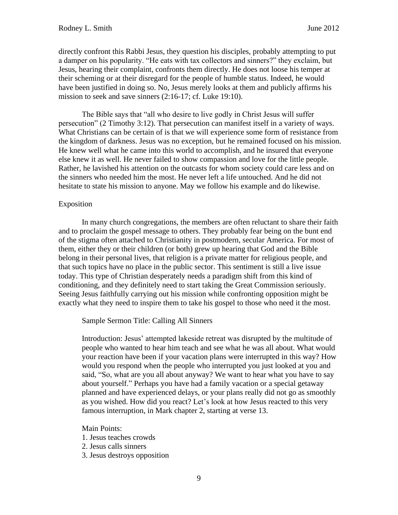directly confront this Rabbi Jesus, they question his disciples, probably attempting to put a damper on his popularity. "He eats with tax collectors and sinners?" they exclaim, but Jesus, hearing their complaint, confronts them directly. He does not loose his temper at their scheming or at their disregard for the people of humble status. Indeed, he would have been justified in doing so. No, Jesus merely looks at them and publicly affirms his mission to seek and save sinners (2:16-17; cf. Luke 19:10).

The Bible says that "all who desire to live godly in Christ Jesus will suffer persecution" (2 Timothy 3:12). That persecution can manifest itself in a variety of ways. What Christians can be certain of is that we will experience some form of resistance from the kingdom of darkness. Jesus was no exception, but he remained focused on his mission. He knew well what he came into this world to accomplish, and he insured that everyone else knew it as well. He never failed to show compassion and love for the little people. Rather, he lavished his attention on the outcasts for whom society could care less and on the sinners who needed him the most. He never left a life untouched. And he did not hesitate to state his mission to anyone. May we follow his example and do likewise.

### Exposition

In many church congregations, the members are often reluctant to share their faith and to proclaim the gospel message to others. They probably fear being on the bunt end of the stigma often attached to Christianity in postmodern, secular America. For most of them, either they or their children (or both) grew up hearing that God and the Bible belong in their personal lives, that religion is a private matter for religious people, and that such topics have no place in the public sector. This sentiment is still a live issue today. This type of Christian desperately needs a paradigm shift from this kind of conditioning, and they definitely need to start taking the Great Commission seriously. Seeing Jesus faithfully carrying out his mission while confronting opposition might be exactly what they need to inspire them to take his gospel to those who need it the most.

Sample Sermon Title: Calling All Sinners

Introduction: Jesus' attempted lakeside retreat was disrupted by the multitude of people who wanted to hear him teach and see what he was all about. What would your reaction have been if your vacation plans were interrupted in this way? How would you respond when the people who interrupted you just looked at you and said, "So, what are you all about anyway? We want to hear what you have to say about yourself." Perhaps you have had a family vacation or a special getaway planned and have experienced delays, or your plans really did not go as smoothly as you wished. How did you react? Let's look at how Jesus reacted to this very famous interruption, in Mark chapter 2, starting at verse 13.

Main Points:

- 1. Jesus teaches crowds
- 2. Jesus calls sinners
- 3. Jesus destroys opposition